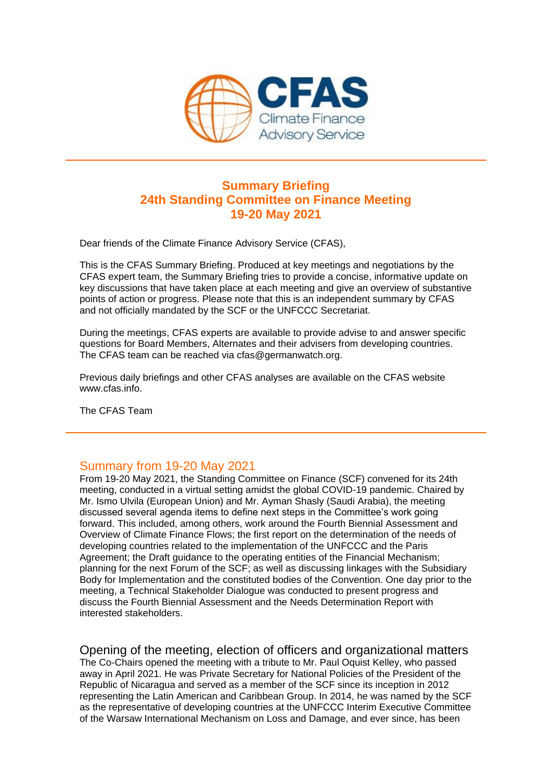

## **Summary Briefing 24th Standing Committee on Finance Meeting 19-20 May 2021**

Dear friends of the Climate Finance Advisory Service (CFAS),

This is the CFAS Summary Briefing. Produced at key meetings and negotiations by the CFAS expert team, the Summary Briefing tries to provide a concise, informative update on key discussions that have taken place at each meeting and give an overview of substantive points of action or progress. Please note that this is an independent summary by CFAS and not officially mandated by the SCF or the UNFCCC Secretariat.

During the meetings, CFAS experts are available to provide advise to and answer specific questions for Board Members, Alternates and their advisers from developing countries. The CFAS team can be reached via cfas@germanwatch.org.

Previous daily briefings and other CFAS analyses are available on the CFAS website www.cfas.info.

The CFAS Team

## Summary from 19-20 May 2021

From 19-20 May 2021, the Standing Committee on Finance (SCF) convened for its 24th meeting, conducted in a virtual setting amidst the global COVID-19 pandemic. Chaired by Mr. Ismo Ulvila (European Union) and Mr. Ayman Shasly (Saudi Arabia), the meeting discussed several agenda items to define next steps in the Committee's work going forward. This included, among others, work around the Fourth Biennial Assessment and Overview of Climate Finance Flows; the first report on the determination of the needs of developing countries related to the implementation of the UNFCCC and the Paris Agreement; the Draft guidance to the operating entities of the Financial Mechanism; planning for the next Forum of the SCF; as well as discussing linkages with the Subsidiary Body for Implementation and the constituted bodies of the Convention. One day prior to the meeting, a Technical Stakeholder Dialogue was conducted to present progress and discuss the Fourth Biennial Assessment and the Needs Determination Report with interested stakeholders.

Opening of the meeting, election of officers and organizational matters The Co-Chairs opened the meeting with a tribute to Mr. Paul Oquist Kelley, who passed away in April 2021. He was Private Secretary for National Policies of the President of the Republic of Nicaragua and served as a member of the SCF since its inception in 2012 representing the Latin American and Caribbean Group. In 2014, he was named by the SCF as the representative of developing countries at the UNFCCC Interim Executive Committee of the Warsaw International Mechanism on Loss and Damage, and ever since, has been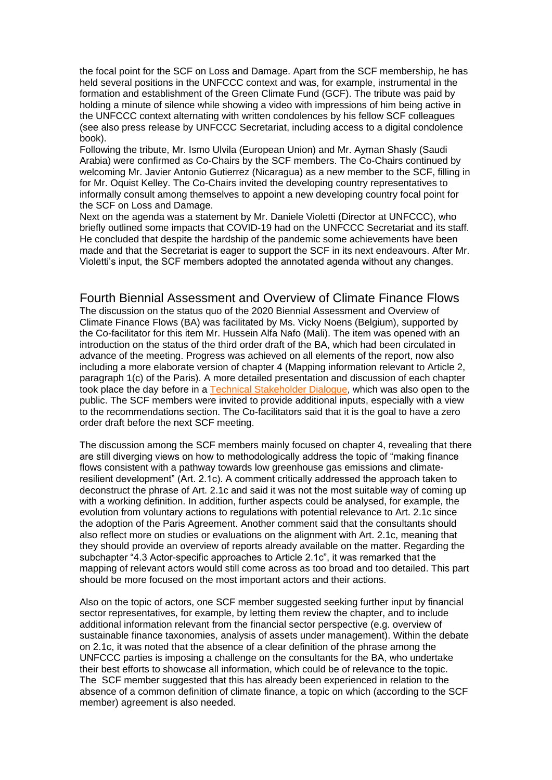the focal point for the SCF on Loss and Damage. Apart from the SCF membership, he has held several positions in the UNFCCC context and was, for example, instrumental in the formation and establishment of the Green Climate Fund (GCF). The tribute was paid by holding a minute of silence while showing a video with impressions of him being active in the UNFCCC context alternating with written condolences by his fellow SCF colleagues (see also press release by UNFCCC Secretariat, including access to a digital condolence book).

Following the tribute, Mr. Ismo Ulvila (European Union) and Mr. Ayman Shasly (Saudi Arabia) were confirmed as Co-Chairs by the SCF members. The Co-Chairs continued by welcoming Mr. Javier Antonio Gutierrez (Nicaragua) as a new member to the SCF, filling in for Mr. Oquist Kelley. The Co-Chairs invited the developing country representatives to informally consult among themselves to appoint a new developing country focal point for the SCF on Loss and Damage.

Next on the agenda was a statement by Mr. Daniele Violetti (Director at UNFCCC), who briefly outlined some impacts that COVID-19 had on the UNFCCC Secretariat and its staff. He concluded that despite the hardship of the pandemic some achievements have been made and that the Secretariat is eager to support the SCF in its next endeavours. After Mr. Violetti's input, the SCF members adopted the annotated agenda without any changes.

#### Fourth Biennial Assessment and Overview of Climate Finance Flows

The discussion on the status quo of the 2020 Biennial Assessment and Overview of Climate Finance Flows (BA) was facilitated by Ms. Vicky Noens (Belgium), supported by the Co-facilitator for this item Mr. Hussein Alfa Nafo (Mali). The item was opened with an introduction on the status of the third order draft of the BA, which had been circulated in advance of the meeting. Progress was achieved on all elements of the report, now also including a more elaborate version of chapter 4 (Mapping information relevant to Article 2, paragraph 1(c) of the Paris). A more detailed presentation and discussion of each chapter took place the day before in a [Technical Stakeholder Dialogue,](https://amxe.net/bek48gnr-q7lpint0-5tb27d6a-gms) which was also open to the public. The SCF members were invited to provide additional inputs, especially with a view to the recommendations section. The Co-facilitators said that it is the goal to have a zero order draft before the next SCF meeting.

The discussion among the SCF members mainly focused on chapter 4, revealing that there are still diverging views on how to methodologically address the topic of "making finance flows consistent with a pathway towards low greenhouse gas emissions and climateresilient development" (Art. 2.1c). A comment critically addressed the approach taken to deconstruct the phrase of Art. 2.1c and said it was not the most suitable way of coming up with a working definition. In addition, further aspects could be analysed, for example, the evolution from voluntary actions to regulations with potential relevance to Art. 2.1c since the adoption of the Paris Agreement. Another comment said that the consultants should also reflect more on studies or evaluations on the alignment with Art. 2.1c, meaning that they should provide an overview of reports already available on the matter. Regarding the subchapter "4.3 Actor-specific approaches to Article 2.1c", it was remarked that the mapping of relevant actors would still come across as too broad and too detailed. This part should be more focused on the most important actors and their actions.

Also on the topic of actors, one SCF member suggested seeking further input by financial sector representatives, for example, by letting them review the chapter, and to include additional information relevant from the financial sector perspective (e.g. overview of sustainable finance taxonomies, analysis of assets under management). Within the debate on 2.1c, it was noted that the absence of a clear definition of the phrase among the UNFCCC parties is imposing a challenge on the consultants for the BA, who undertake their best efforts to showcase all information, which could be of relevance to the topic. The SCF member suggested that this has already been experienced in relation to the absence of a common definition of climate finance, a topic on which (according to the SCF member) agreement is also needed.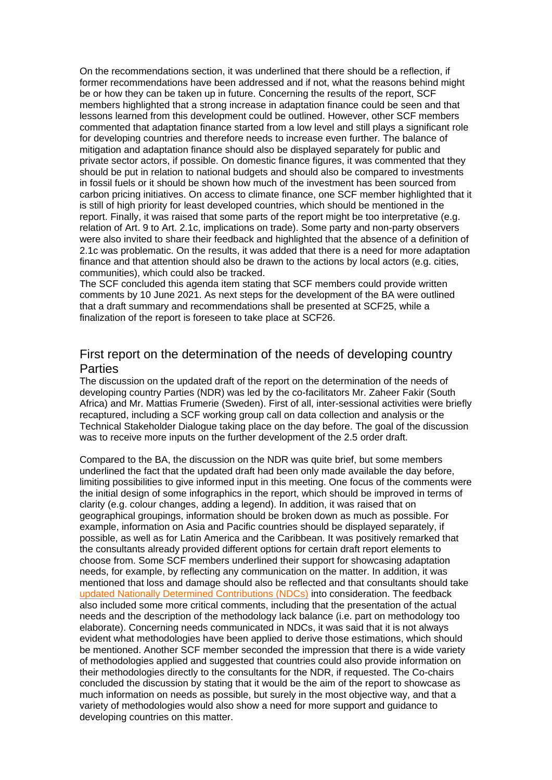On the recommendations section, it was underlined that there should be a reflection, if former recommendations have been addressed and if not, what the reasons behind might be or how they can be taken up in future. Concerning the results of the report, SCF members highlighted that a strong increase in adaptation finance could be seen and that lessons learned from this development could be outlined. However, other SCF members commented that adaptation finance started from a low level and still plays a significant role for developing countries and therefore needs to increase even further. The balance of mitigation and adaptation finance should also be displayed separately for public and private sector actors, if possible. On domestic finance figures, it was commented that they should be put in relation to national budgets and should also be compared to investments in fossil fuels or it should be shown how much of the investment has been sourced from carbon pricing initiatives. On access to climate finance, one SCF member highlighted that it is still of high priority for least developed countries, which should be mentioned in the report. Finally, it was raised that some parts of the report might be too interpretative (e.g. relation of Art. 9 to Art. 2.1c, implications on trade). Some party and non-party observers were also invited to share their feedback and highlighted that the absence of a definition of 2.1c was problematic. On the results, it was added that there is a need for more adaptation finance and that attention should also be drawn to the actions by local actors (e.g. cities, communities), which could also be tracked.

The SCF concluded this agenda item stating that SCF members could provide written comments by 10 June 2021. As next steps for the development of the BA were outlined that a draft summary and recommendations shall be presented at SCF25, while a finalization of the report is foreseen to take place at SCF26.

#### First report on the determination of the needs of developing country Parties

The discussion on the updated draft of the report on the determination of the needs of developing country Parties (NDR) was led by the co-facilitators Mr. Zaheer Fakir (South Africa) and Mr. Mattias Frumerie (Sweden). First of all, inter-sessional activities were briefly recaptured, including a SCF working group call on data collection and analysis or the Technical Stakeholder Dialogue taking place on the day before. The goal of the discussion was to receive more inputs on the further development of the 2.5 order draft.

Compared to the BA, the discussion on the NDR was quite brief, but some members underlined the fact that the updated draft had been only made available the day before, limiting possibilities to give informed input in this meeting. One focus of the comments were the initial design of some infographics in the report, which should be improved in terms of clarity (e.g. colour changes, adding a legend). In addition, it was raised that on geographical groupings, information should be broken down as much as possible. For example, information on Asia and Pacific countries should be displayed separately, if possible, as well as for Latin America and the Caribbean. It was positively remarked that the consultants already provided different options for certain draft report elements to choose from. Some SCF members underlined their support for showcasing adaptation needs, for example, by reflecting any communication on the matter. In addition, it was mentioned that loss and damage should also be reflected and that consultants should take [updated Nationally Determined Contributions \(NDCs\)](https://amxe.net/bek48gnr-q7lpint0-93ou5unm-17jk) into consideration. The feedback also included some more critical comments, including that the presentation of the actual needs and the description of the methodology lack balance (i.e. part on methodology too elaborate). Concerning needs communicated in NDCs, it was said that it is not always evident what methodologies have been applied to derive those estimations, which should be mentioned. Another SCF member seconded the impression that there is a wide variety of methodologies applied and suggested that countries could also provide information on their methodologies directly to the consultants for the NDR, if requested. The Co-chairs concluded the discussion by stating that it would be the aim of the report to showcase as much information on needs as possible, but surely in the most objective way, and that a variety of methodologies would also show a need for more support and guidance to developing countries on this matter.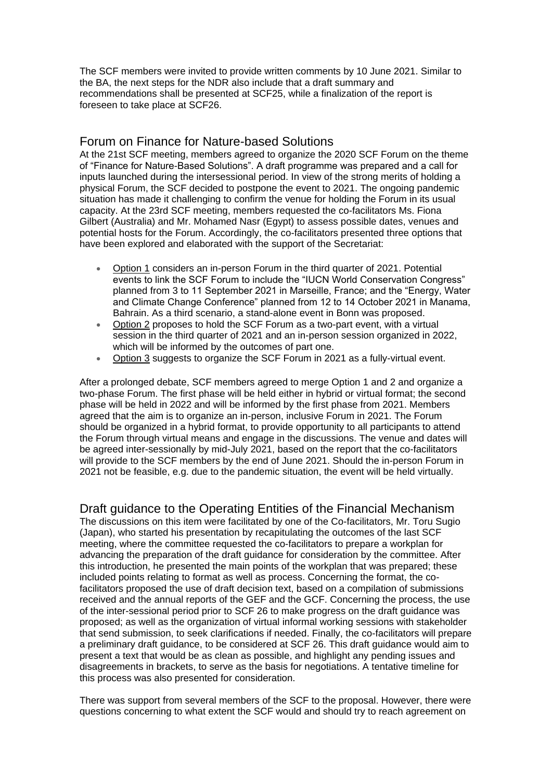The SCF members were invited to provide written comments by 10 June 2021. Similar to the BA, the next steps for the NDR also include that a draft summary and recommendations shall be presented at SCF25, while a finalization of the report is foreseen to take place at SCF26.

#### Forum on Finance for Nature-based Solutions

At the 21st SCF meeting, members agreed to organize the 2020 SCF Forum on the theme of "Finance for Nature-Based Solutions". A draft programme was prepared and a call for inputs launched during the intersessional period. In view of the strong merits of holding a physical Forum, the SCF decided to postpone the event to 2021. The ongoing pandemic situation has made it challenging to confirm the venue for holding the Forum in its usual capacity. At the 23rd SCF meeting, members requested the co-facilitators Ms. Fiona Gilbert (Australia) and Mr. Mohamed Nasr (Egypt) to assess possible dates, venues and potential hosts for the Forum. Accordingly, the co-facilitators presented three options that have been explored and elaborated with the support of the Secretariat:

- Option 1 considers an in-person Forum in the third quarter of 2021. Potential events to link the SCF Forum to include the "IUCN World Conservation Congress" planned from 3 to 11 September 2021 in Marseille, France; and the "Energy, Water and Climate Change Conference" planned from 12 to 14 October 2021 in Manama, Bahrain. As a third scenario, a stand-alone event in Bonn was proposed.
- Option 2 proposes to hold the SCF Forum as a two-part event, with a virtual session in the third quarter of 2021 and an in-person session organized in 2022, which will be informed by the outcomes of part one.
- Option 3 suggests to organize the SCF Forum in 2021 as a fully-virtual event.

After a prolonged debate, SCF members agreed to merge Option 1 and 2 and organize a two-phase Forum. The first phase will be held either in hybrid or virtual format; the second phase will be held in 2022 and will be informed by the first phase from 2021. Members agreed that the aim is to organize an in-person, inclusive Forum in 2021. The Forum should be organized in a hybrid format, to provide opportunity to all participants to attend the Forum through virtual means and engage in the discussions. The venue and dates will be agreed inter-sessionally by mid-July 2021, based on the report that the co-facilitators will provide to the SCF members by the end of June 2021. Should the in-person Forum in 2021 not be feasible, e.g. due to the pandemic situation, the event will be held virtually.

Draft guidance to the Operating Entities of the Financial Mechanism The discussions on this item were facilitated by one of the Co-facilitators, Mr. Toru Sugio (Japan), who started his presentation by recapitulating the outcomes of the last SCF meeting, where the committee requested the co-facilitators to prepare a workplan for advancing the preparation of the draft guidance for consideration by the committee. After this introduction, he presented the main points of the workplan that was prepared; these included points relating to format as well as process. Concerning the format, the cofacilitators proposed the use of draft decision text, based on a compilation of submissions received and the annual reports of the GEF and the GCF. Concerning the process, the use of the inter-sessional period prior to SCF 26 to make progress on the draft guidance was proposed; as well as the organization of virtual informal working sessions with stakeholder that send submission, to seek clarifications if needed. Finally, the co-facilitators will prepare a preliminary draft guidance, to be considered at SCF 26. This draft guidance would aim to present a text that would be as clean as possible, and highlight any pending issues and disagreements in brackets, to serve as the basis for negotiations. A tentative timeline for this process was also presented for consideration.

There was support from several members of the SCF to the proposal. However, there were questions concerning to what extent the SCF would and should try to reach agreement on